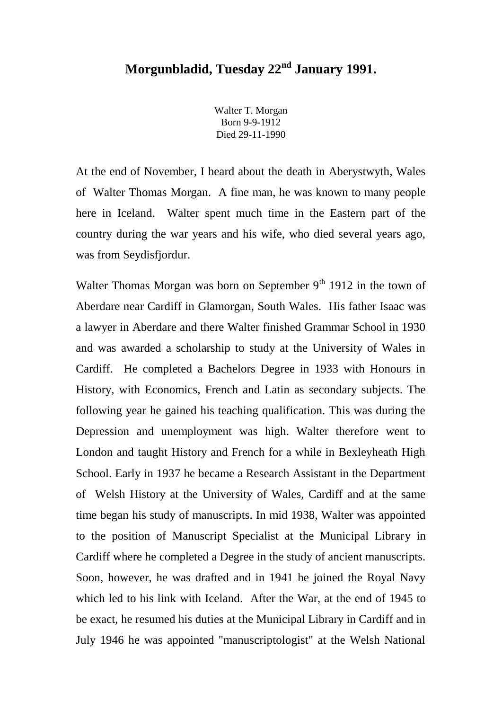## **Morgunbladid, Tuesday 22nd January 1991.**

Walter T. Morgan Born 9-9-1912 Died 29-11-1990

At the end of November, I heard about the death in Aberystwyth, Wales of Walter Thomas Morgan. A fine man, he was known to many people here in Iceland. Walter spent much time in the Eastern part of the country during the war years and his wife, who died several years ago, was from Seydisfjordur.

Walter Thomas Morgan was born on September  $9<sup>th</sup> 1912$  in the town of Aberdare near Cardiff in Glamorgan, South Wales. His father Isaac was a lawyer in Aberdare and there Walter finished Grammar School in 1930 and was awarded a scholarship to study at the University of Wales in Cardiff. He completed a Bachelors Degree in 1933 with Honours in History, with Economics, French and Latin as secondary subjects. The following year he gained his teaching qualification. This was during the Depression and unemployment was high. Walter therefore went to London and taught History and French for a while in Bexleyheath High School. Early in 1937 he became a Research Assistant in the Department of Welsh History at the University of Wales, Cardiff and at the same time began his study of manuscripts. In mid 1938, Walter was appointed to the position of Manuscript Specialist at the Municipal Library in Cardiff where he completed a Degree in the study of ancient manuscripts. Soon, however, he was drafted and in 1941 he joined the Royal Navy which led to his link with Iceland. After the War, at the end of 1945 to be exact, he resumed his duties at the Municipal Library in Cardiff and in July 1946 he was appointed "manuscriptologist" at the Welsh National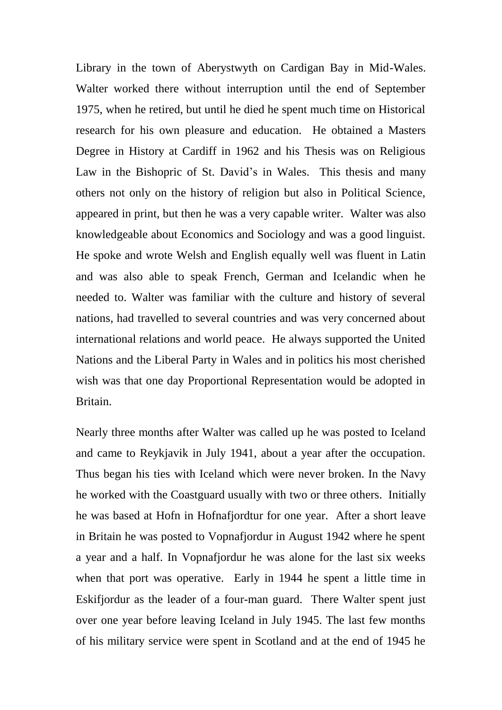Library in the town of Aberystwyth on Cardigan Bay in Mid-Wales. Walter worked there without interruption until the end of September 1975, when he retired, but until he died he spent much time on Historical research for his own pleasure and education. He obtained a Masters Degree in History at Cardiff in 1962 and his Thesis was on Religious Law in the Bishopric of St. David's in Wales. This thesis and many others not only on the history of religion but also in Political Science, appeared in print, but then he was a very capable writer. Walter was also knowledgeable about Economics and Sociology and was a good linguist. He spoke and wrote Welsh and English equally well was fluent in Latin and was also able to speak French, German and Icelandic when he needed to. Walter was familiar with the culture and history of several nations, had travelled to several countries and was very concerned about international relations and world peace. He always supported the United Nations and the Liberal Party in Wales and in politics his most cherished wish was that one day Proportional Representation would be adopted in Britain.

Nearly three months after Walter was called up he was posted to Iceland and came to Reykjavik in July 1941, about a year after the occupation. Thus began his ties with Iceland which were never broken. In the Navy he worked with the Coastguard usually with two or three others. Initially he was based at Hofn in Hofnafjordtur for one year. After a short leave in Britain he was posted to Vopnafjordur in August 1942 where he spent a year and a half. In Vopnafjordur he was alone for the last six weeks when that port was operative. Early in 1944 he spent a little time in Eskifjordur as the leader of a four-man guard. There Walter spent just over one year before leaving Iceland in July 1945. The last few months of his military service were spent in Scotland and at the end of 1945 he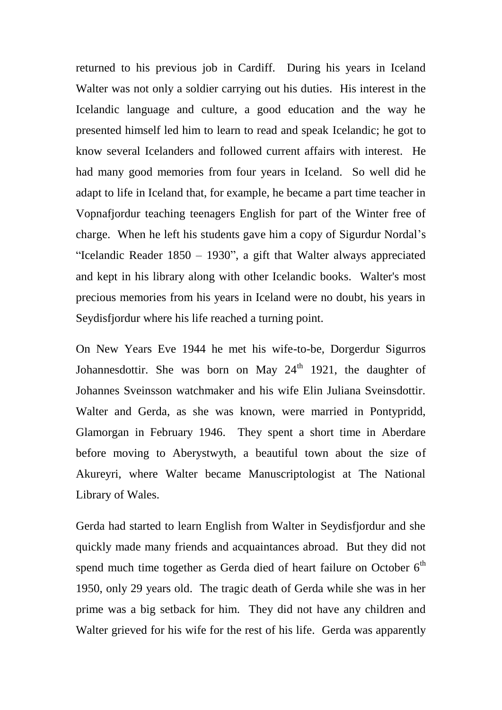returned to his previous job in Cardiff. During his years in Iceland Walter was not only a soldier carrying out his duties. His interest in the Icelandic language and culture, a good education and the way he presented himself led him to learn to read and speak Icelandic; he got to know several Icelanders and followed current affairs with interest. He had many good memories from four years in Iceland. So well did he adapt to life in Iceland that, for example, he became a part time teacher in Vopnafjordur teaching teenagers English for part of the Winter free of charge. When he left his students gave him a copy of Sigurdur Nordal's "Icelandic Reader  $1850 - 1930$ ", a gift that Walter always appreciated and kept in his library along with other Icelandic books. Walter's most precious memories from his years in Iceland were no doubt, his years in Seydisfjordur where his life reached a turning point.

On New Years Eve 1944 he met his wife-to-be, Dorgerdur Sigurros Johannesdottir. She was born on May  $24<sup>th</sup>$  1921, the daughter of Johannes Sveinsson watchmaker and his wife Elin Juliana Sveinsdottir. Walter and Gerda, as she was known, were married in Pontypridd, Glamorgan in February 1946. They spent a short time in Aberdare before moving to Aberystwyth, a beautiful town about the size of Akureyri, where Walter became Manuscriptologist at The National Library of Wales.

Gerda had started to learn English from Walter in Seydisfjordur and she quickly made many friends and acquaintances abroad. But they did not spend much time together as Gerda died of heart failure on October  $6<sup>th</sup>$ 1950, only 29 years old. The tragic death of Gerda while she was in her prime was a big setback for him. They did not have any children and Walter grieved for his wife for the rest of his life. Gerda was apparently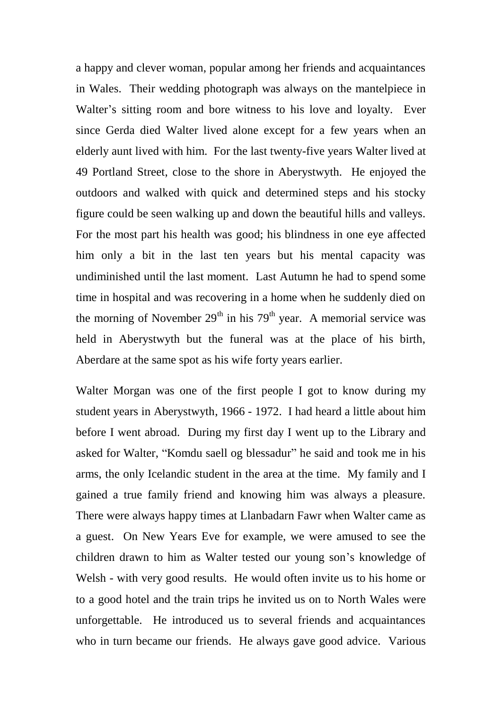a happy and clever woman, popular among her friends and acquaintances in Wales. Their wedding photograph was always on the mantelpiece in Walter's sitting room and bore witness to his love and loyalty. Ever since Gerda died Walter lived alone except for a few years when an elderly aunt lived with him. For the last twenty-five years Walter lived at 49 Portland Street, close to the shore in Aberystwyth. He enjoyed the outdoors and walked with quick and determined steps and his stocky figure could be seen walking up and down the beautiful hills and valleys. For the most part his health was good; his blindness in one eye affected him only a bit in the last ten years but his mental capacity was undiminished until the last moment. Last Autumn he had to spend some time in hospital and was recovering in a home when he suddenly died on the morning of November  $29<sup>th</sup>$  in his 79<sup>th</sup> year. A memorial service was held in Aberystwyth but the funeral was at the place of his birth, Aberdare at the same spot as his wife forty years earlier.

Walter Morgan was one of the first people I got to know during my student years in Aberystwyth, 1966 - 1972. I had heard a little about him before I went abroad. During my first day I went up to the Library and asked for Walter, "Komdu saell og blessadur" he said and took me in his arms, the only Icelandic student in the area at the time. My family and I gained a true family friend and knowing him was always a pleasure. There were always happy times at Llanbadarn Fawr when Walter came as a guest. On New Years Eve for example, we were amused to see the children drawn to him as Walter tested our young son's knowledge of Welsh - with very good results. He would often invite us to his home or to a good hotel and the train trips he invited us on to North Wales were unforgettable. He introduced us to several friends and acquaintances who in turn became our friends. He always gave good advice. Various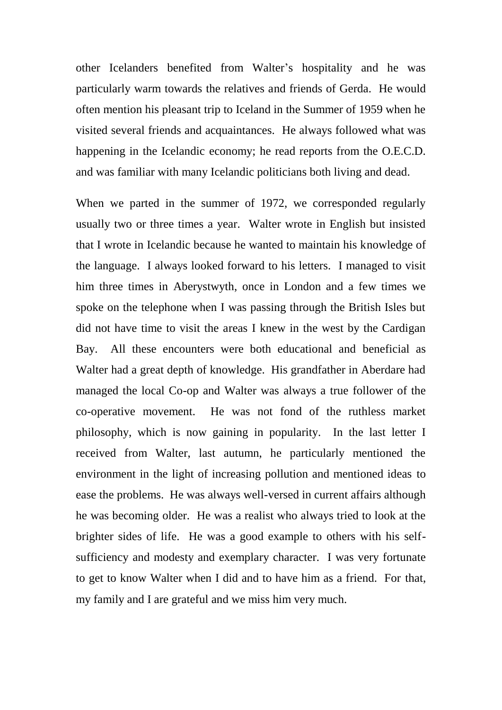other Icelanders benefited from Walter's hospitality and he was particularly warm towards the relatives and friends of Gerda. He would often mention his pleasant trip to Iceland in the Summer of 1959 when he visited several friends and acquaintances. He always followed what was happening in the Icelandic economy; he read reports from the O.E.C.D. and was familiar with many Icelandic politicians both living and dead.

When we parted in the summer of 1972, we corresponded regularly usually two or three times a year. Walter wrote in English but insisted that I wrote in Icelandic because he wanted to maintain his knowledge of the language. I always looked forward to his letters. I managed to visit him three times in Aberystwyth, once in London and a few times we spoke on the telephone when I was passing through the British Isles but did not have time to visit the areas I knew in the west by the Cardigan Bay. All these encounters were both educational and beneficial as Walter had a great depth of knowledge. His grandfather in Aberdare had managed the local Co-op and Walter was always a true follower of the co-operative movement. He was not fond of the ruthless market philosophy, which is now gaining in popularity. In the last letter I received from Walter, last autumn, he particularly mentioned the environment in the light of increasing pollution and mentioned ideas to ease the problems. He was always well-versed in current affairs although he was becoming older. He was a realist who always tried to look at the brighter sides of life. He was a good example to others with his selfsufficiency and modesty and exemplary character. I was very fortunate to get to know Walter when I did and to have him as a friend. For that, my family and I are grateful and we miss him very much.